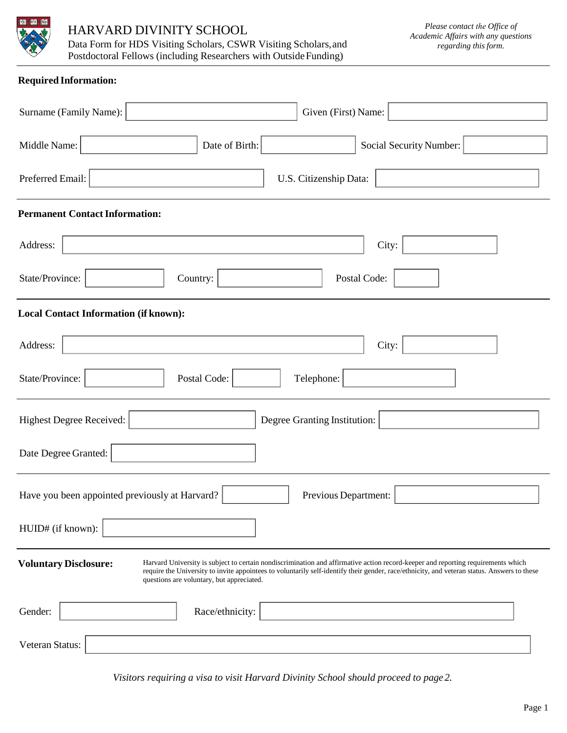

# HARVARD DIVINITY SCHOOL

Data Form for HDS Visiting Scholars, CSWR Visiting Scholars,and Postdoctoral Fellows (including Researchers with Outside Funding)

## **Required Information:**

| Given (First) Name:<br>Surname (Family Name):                                                                                                                                                                                                                                                                                                                |
|--------------------------------------------------------------------------------------------------------------------------------------------------------------------------------------------------------------------------------------------------------------------------------------------------------------------------------------------------------------|
| Date of Birth:<br>Middle Name:<br>Social Security Number:                                                                                                                                                                                                                                                                                                    |
| Preferred Email:<br>U.S. Citizenship Data:                                                                                                                                                                                                                                                                                                                   |
| <b>Permanent Contact Information:</b>                                                                                                                                                                                                                                                                                                                        |
| Address:<br>City:                                                                                                                                                                                                                                                                                                                                            |
| State/Province:<br>Postal Code:<br>Country:                                                                                                                                                                                                                                                                                                                  |
| <b>Local Contact Information (if known):</b>                                                                                                                                                                                                                                                                                                                 |
| Address:<br>City:                                                                                                                                                                                                                                                                                                                                            |
| State/Province:<br>Postal Code:<br>Telephone:                                                                                                                                                                                                                                                                                                                |
| Highest Degree Received:<br>Degree Granting Institution:                                                                                                                                                                                                                                                                                                     |
| Date Degree Granted:                                                                                                                                                                                                                                                                                                                                         |
| Have you been appointed previously at Harvard?<br>Previous Department:                                                                                                                                                                                                                                                                                       |
| HUID# (if known):                                                                                                                                                                                                                                                                                                                                            |
| Harvard University is subject to certain nondiscrimination and affirmative action record-keeper and reporting requirements which<br><b>Voluntary Disclosure:</b><br>require the University to invite appointees to voluntarily self-identify their gender, race/ethnicity, and veteran status. Answers to these<br>questions are voluntary, but appreciated. |
| Race/ethnicity:<br>Gender:                                                                                                                                                                                                                                                                                                                                   |
| Veteran Status:                                                                                                                                                                                                                                                                                                                                              |

*Visitors requiring a visa to visit Harvard Divinity School should proceed to page 2.*